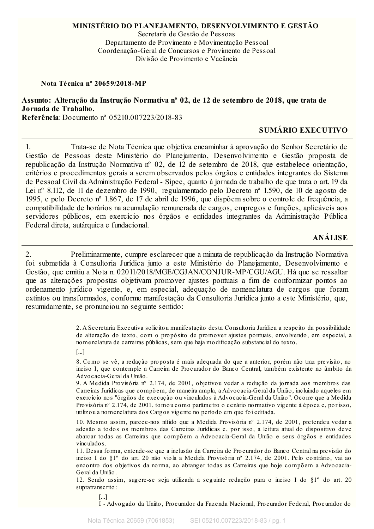### MINISTÉRIO DO PLANEJAMENTO, DESENVOLVIMENTO E GESTÃO

Secretaria de Gestão de Pessoas Departamento de Provimento e Movimentação Pessoal Coordenação-Geral de Concursos e Provimento de Pessoal Divisão de Provimento e Vacância

Nota Técnica nº 20659/2018-MP

Assunto: Alteração da Instrução Normativa nº 02, de 12 de setembro de 2018, que trata de Jornada de Trabalho.

Referência: Documento nº 05210.007223/2018-83

## **SUMÁRIO EXECUTIVO**

 $1<sup>1</sup>$ Trata-se de Nota Técnica que objetiva encaminhar à aprovação do Senhor Secretário de Gestão de Pessoas deste Ministério do Planejamento, Desenvolvimento e Gestão proposta de republicação da Instrução Normativa nº 02, de 12 de setembro de 2018, que estabelece orientação, critérios e procedimentos gerais a serem observados pelos órgãos e entidades integrantes do Sistema de Pessoal Civil da Administração Federal - Sipec, quanto à jornada de trabalho de que trata o art. 19 da Lei nº 8.112, de 11 de dezembro de 1990, regulamentado pelo Decreto nº 1.590, de 10 de agosto de 1995, e pelo Decreto nº 1.867, de 17 de abril de 1996, que dispõem sobre o controle de frequência, a compatibilidade de horários na acumulação remunerada de cargos, empregos e funções, aplicáveis aos servidores públicos, em exercício nos órgãos e entidades integrantes da Administração Pública Federal direta, autárquica e fundacional.

# **ANÁLISE**

Preliminarmente, cumpre esclarecer que a minuta de republicação da Instrução Normativa 2. foi submetida à Consultoria Jurídica junto a este Ministério do Planejamento, Desenvolvimento e Gestão, que emitiu a Nota n. 02011/2018/MGE/CGJAN/CONJUR-MP/CGU/AGU. Há que se ressaltar que as alterações propostas objetivam promover ajustes pontuais a fim de conformizar pontos ao ordenamento jurídico vigente, e, em especial, adequação de nomenclatura de cargos que foram extintos ou transformados, conforme manifestação da Consultoria Jurídica junto a este Ministério, que, resumidamente, se pronunciou no seguinte sentido:

> 2. A Secretaria Executiva solicitou manifestação desta Consultoria Jurídica a respeito da possibilidade de alteração do texto, com o propósito de promover ajustes pontuais, envolvendo, em especial, a nomenclatura de carreiras públicas, sem que haja modificação substancial do texto.

 $[...]$ 

8. Como se vê, a redação proposta é mais adequada do que a anterior, porém não traz previsão, no inciso I, que contemple a Carreira de Procurador do Banco Central, também existente no âmbito da Advocacia-Geral da União.

9. A Medida Provisória nº 2.174, de 2001, objetivou vedar a redução da jornada aos membros das Carreiras Jurídicas que compõem, de maneira ampla, a Advocacia-Geral da União, incluindo aqueles em exercício nos "órgãos de execução ou vinculados à Advocacia-Geral da União". Ocorre que a Medida Provisória nº 2.174, de 2001, tomou como parâmetro o cenário normativo vigente à época e, por isso, utilizou a nomenclatura dos Cargos vigente no período em que foi editada.

10. Mesmo assim, parece-nos nítido que a Medida Provisória nº 2.174, de 2001, pretendeu vedar a adesão a todos os membros das Carreiras Jurídicas e, por isso, a leitura atual do dispositivo deve abarcar todas as Carreiras que compõem a Advocacia-Geral da União e seus órgãos e entidades vinculados.

11. Dessa forma, entende-se que a inclusão da Carreira de Procurador do Banco Central na previsão do inciso I do §1º do art. 20 não viola a Medida Provisória nº 2.174, de 2001. Pelo contrário, vai ao encontro dos objetivos da norma, ao abranger todas as Carreiras que hoje compõem a Advocacia-Geral da União.

12. Sendo assim, sugere-se seja utilizada a seguinte redação para o inciso I do §1<sup>°</sup> do art. 20 supratranscrito:

 $[...]$ I - Advogado da União, Procurador da Fazenda Nacional, Procurador Federal, Procurador do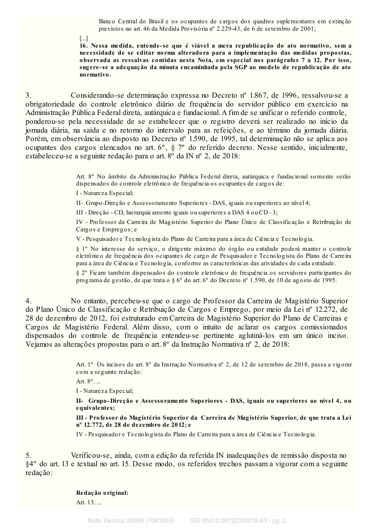Banco Central do Brasil e os ocupantes de cargos dos quadros suplementares em extinção previstos no art. 46 da Medida Provisória nº 2.229-43, de 6 de setembro de 2001;

 $\lceil ... \rceil$ 

16. Nessa medida, entende-se que é viável a mera republicação do ato normativo, sem a necessidade de se editar norma alteradora para a implementação das medidas propostas, observada as ressalvas contidas nesta Nota, em especial nos parágrafos 7 a 12. Por isso, sugere-se a adequação da minuta encaminhada pela SGP ao modelo de republicação de ato normativo.

Considerando-se determinação expressa no Decreto nº 1.867, de 1996, ressalvou-se a  $3.$ obrigatoriedade do controle eletrônico diário de frequência do servidor público em exercício na Administração Pública Federal direta, autárquica e fundacional. A fim de se unificar o referido controle, ponderou-se pela necessidade de se estabelecer que o registro deverá ser realizado no início da jornada diária, na saída e no retorno do intervalo para as refeições, e ao término da jornada diária. Porém, em observância ao disposto no Decreto nº 1.590, de 1995, tal determinação não se aplica aos ocupantes dos cargos elencados no art. 6°, § 7° do referido decreto. Nesse sentido, inicialmente, estabeleceu-se a seguinte redação para o art. 8° da IN nº 2, de 2018:

> Art. 8º No âmbito da Administração Pública Federal direta, autárquica e fundacional somente serão dispensados do controle eletrônico de frequência os ocupantes de cargos de:

I - Natureza Especial;

II- Grupo-Direção e Assessoramento Superiores - DAS, iguais ou superiores ao nível 4;

III - Direção - CD, hierarquicamente iguais ou superiores a DAS 4 ou CD - 3;

IV - Professor da Carreira de Magistério Superior do Plano Unico de Classificação e Retribuição de Cargos e Empregos; e

V - Pesquisador e Tecnologista do Plano de Carreira para a área de Ciência e Tecnologia.

§ 1º No interesse do serviço, o dirigente máximo do órgão ou entidade poderá manter o controle eletrônico de frequência dos ocupantes de cargo de Pesquisador e Tecnologista do Plano de Carreira para a área de Ciência e Tecnologia, conforme as características das atividades de cada entidade.

§ 2° Ficam também dispensados do controle eletrônico de frequência os servidores participantes do programa de gestão, de que trata o § 6° do art. 6° do Decreto nº 1.590, de 10 de agosto de 1995.

 $\overline{4}$ . No entanto, percebeu-se que o cargo de Professor da Carreira de Magistério Superior do Plano Único de Classificação e Retribuição de Cargos e Emprego, por meio da Lei nº 12.272, de 28 de dezembro de 2012, foi estruturado em Carreira de Magistério Superior do Plano de Carreiras e Cargos de Magistério Federal. Além disso, com o intuito de aclarar os cargos comissionados dispensados do controle de frequência entendeu-se pertinente aglutiná-los em um único inciso. Vejamos as alterações propostas para o art. 8º da Instrução Normativa nº 2, de 2018:

> Art. 1<sup>°</sup> Os incisos do art. 8<sup>°</sup> da Instrução Normativa nº 2, de 12 de setembro de 2018, passa a vigorar com a seguinte redação:

Art.  $8^\circ$ . ...

I - Natureza Especial;

II- Grupo-Direção e Assessoramento Superiores - DAS, iguais ou superiores ao nível 4, ou equivalentes;

III - Professor do Magistério Superior da Carreira de Magistério Superior, de que trata a Lei nº 12.772, de 28 de dezembro de 2012; e

IV - Pesquisador e Tecnologista do Plano de Carreira para a área de Ciência e Tecnologia.

Verificou-se, ainda, com a edição da referida IN inadequações de remissão disposta no 5. §4° do art. 13 e textual no art. 15. Desse modo, os referidos trechos passam a vigorar com a seguinte redação:

Redação original:

Art. 13. ...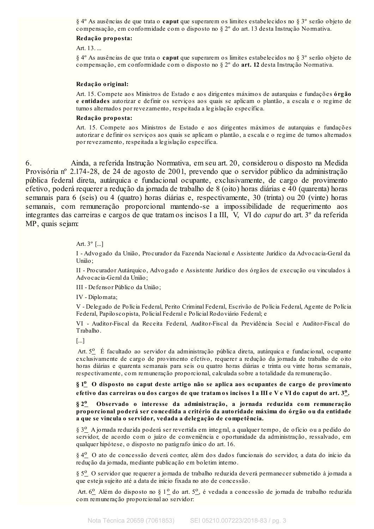$\S 4^{\circ}$  As ausências de que trata o caput que superarem os limites estabelecidos no  $\S 3^{\circ}$  serão objeto de compensação, em conformidade com o disposto no § 2º do art. 13 desta Instrução Normativa.

### Redação proposta:

Art. 13. ...

§ 4° As ausências de que trata o caput que superarem os limites estabelecidos no § 3° serão objeto de compensação, em conformidade com o disposto no § 2º do art. 12 desta Instrução Normativa.

#### Redação original:

Art. 15. Compete aos Ministros de Estado e aos dirigentes máximos de autarquias e fundações órgão e entidades autorizar e definir os serviços aos quais se aplicam o plantão, a escala e o regime de turnos alternados por revezamento, respeitada a legislação específica.

#### Redação proposta:

Art. 15. Compete aos Ministros de Estado e aos dirigentes máximos de autarquias e fundações autorizar e definir os serviços aos quais se aplicam o plantão, a escala e o regime de turnos alternados por revezamento, respeitada a legislação específica.

6. Ainda, a referida Instrução Normativa, em seu art. 20, considerou o disposto na Medida Provisória nº 2.174-28, de 24 de agosto de 2001, prevendo que o servidor público da administração pública federal direta, autárquica e fundacional ocupante, exclusivamente, de cargo de provimento efetivo, poderá requerer a redução da jornada de trabalho de 8 (oito) horas diárias e 40 (quarenta) horas semanais para 6 (seis) ou 4 (quatro) horas diárias e, respectivamente, 30 (trinta) ou 20 (vinte) horas semanais, com remuneração proporcional mantendo-se a impossibilidade de requerimento aos integrantes das carreiras e cargos de que tratam os incisos I a III, V, VI do caput do art. 3º da referida MP, quais sejam:

### Art.  $3^{\circ}$  [...]

I - Advogado da União, Procurador da Fazenda Nacional e Assistente Jurídico da Advocacia-Geral da União:

II - Procurador Autárquico, Advogado e Assistente Jurídico dos órgãos de execução ou vinculados à Advocacia-Geral da União;

III - De fensor Público da União:

IV - Diplomata;

V - Delegado de Polícia Federal, Perito Criminal Federal, Escrivão de Polícia Federal, Agente de Polícia Federal, Papilo scopista, Policial Federal e Policial Rodoviário Federal; e

VI - Auditor-Fiscal da Receita Federal, Auditor-Fiscal da Previdência Social e Auditor-Fiscal do Trabalho.

 $\left[\ldots\right]$ 

Art. 5<sup>0</sup> É facultado ao servidor da administração pública direta, autárquica e fundacional, ocupante exclusivamente de cargo de provimento efetivo, requerer a redução da jornada de trabalho de oito horas diárias e quarenta semanais para seis ou quatro horas diárias e trinta ou vinte horas semanais, respectivamente, com remuneração proporcional, calculada sobre a totalidade da remuneração.

§ 1<sup>0</sup> O disposto no caput deste artigo não se aplica aos ocupantes de cargo de provimento efetivo das carreiras ou dos cargos de que tratamos incisos I a III e V e VI do caput do art. 3<sup>0</sup>.

 $82^{\circ}$ Observado o interesse da administração, a jornada reduzida com remuneração proporcional poderá ser concedida a critério da autoridade máxima do órgão ou da entidade a que se vincula o servidor, vedada a delegação de competência.

§ 3<sup>o</sup> A jornada reduzida poderá ser revertida em integral, a qualquer tempo, de ofício ou a pedido do servidor, de acordo com o juízo de conveniência e oportunidade da administração, ressalvado, em qualquer hipótese, o disposto no parágrafo único do art. 16.

 $\S 4^{\circ}$  O ato de concessão deverá conter, além dos dados funcionais do servidor, a data do início da redução da jornada, mediante publicação em boletim interno.

§ 5<sup>o</sup> O servidor que requerer a jornada de trabalho reduzida deverá permanecer submetido à jornada a que esteja sujeito até a data de início fixada no ato de concessão.

Art.  $6^{\circ}$  Além do disposto no § 1<sup>o</sup> do art.  $5^{\circ}$ , é vedada a concessão de jornada de trabalho reduzida com remuneração proporcional ao servidor: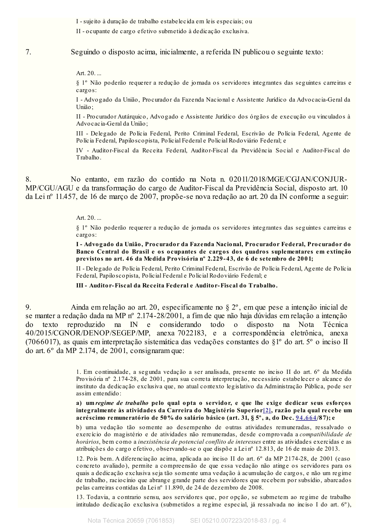I - sujeito à duração de trabalho estabelecida em leis especiais; ou

II - ocupante de cargo efetivo submetido à dedicação exclusiva.

Seguindo o disposto acima, inicialmente, a referida IN publicou o seguinte texto:

Art. 20. ...

 $7.$ 

§ 1º Não poderão requerer a redução de jornada os servidores integrantes das seguintes carreiras e  $c$  arg  $o$  s:

I - Advogado da União, Procurador da Fazenda Nacional e Assistente Jurídico da Advocacia-Geral da União;

II - Procurador Autárquico, Advogado e Assistente Jurídico dos órgãos de execução ou vinculados à Advocacia-Geral da União;

III - Delegado de Polícia Federal, Perito Criminal Federal, Escrivão de Polícia Federal, Agente de Polícia Federal, Papiloscopista, Policial Federal e Policial Rodoviário Federal; e

IV - Auditor-Fiscal da Receita Federal, Auditor-Fiscal da Previdência Social e Auditor-Fiscal do Trabalho.

No entanto, em razão do contido na Nota n. 02011/2018/MGE/CGJAN/CONJUR-8. MP/CGU/AGU e da transformação do cargo de Auditor-Fiscal da Previdência Social, disposto art. 10 da Lei nº 11.457, de 16 de março de 2007, propõe-se nova redação ao art. 20 da IN conforme a seguir:

### Art.  $20...$

§ 1<sup>°</sup> Não poderão requerer a redução de jornada os servidores integrantes das seguintes carreiras e  $cargos:$ 

I - Advogado da União, Procurador da Fazenda Nacional, Procurador Federal, Procurador do Banco Central do Brasil e os ocupantes de cargos dos quadros suplementares em extinção previstos no art. 46 da Medida Provisória nº 2.229-43, de 6 de setembro de 2001;

II - Delegado de Polícia Federal, Perito Criminal Federal, Escrivão de Polícia Federal, Agente de Polícia Federal, Papilo scopista, Policial Federal e Policial Rodoviário Federal; e

III - Auditor-Fiscal da Receita Federal e Auditor-Fiscal do Trabalho.

 $9<sub>1</sub>$ Ainda em relação ao art. 20, especificamente no  $\S 2^{\circ}$ , em que pese a intenção inicial de se manter a redação dada na MP nº 2.174-28/2001, a fim de que não haja dúvidas em relação a intenção IN e considerando todo do  $texto$ reproduzido na  $\Omega$ disposto na Nota Técnica 40/2015/CGNOR/DENOP/SEGEP/MP, anexa 7022183, e a correspondência eletrônica, anexa (7066017), as quais em interpretação sistemática das vedações constantes do  $\S1^{\circ}$  do art. 5° o inciso II do art. 6° da MP 2.174, de 2001, consignaram que:

> 1. Em continuidade, a segunda vedação a ser analisada, presente no inciso II do art. 6° da Medida Provisória nº 2.174-28, de 2001, para sua correta interpretação, necessário estabelecer o alcance do instituto da dedicação exclusiva que, no atual contexto legislativo da Administração Pública, pode ser assim entendido:

> a) um regime de trabalho pelo qual opta o servidor, e que lhe exige dedicar seus esforços integralmente às atividades da Carreira do Magistério Superior[2], razão pela qual recebe um acréscimo remuneratório de 50% do salário básico (art. 31, § 5°, a, do Dec. 94.664/87); e

> b) uma vedação tão somente ao desempenho de outras atividades remuneradas, ressalvado o exercício do magistério e de atividades não remuneradas, desde comprovada a compatibilidade de horários, bem como a inexistência de potencial conflito de interesses entre as atividades exercidas e as atribuições do cargo efetivo, observando-se o que dispõe a Lei nº 12.813, de 16 de maio de 2013.

> 12. Pois bem. A diferenciação acima, aplicada ao inciso II do art. 6° da MP 2174-28, de 2001 (caso concreto avaliado), permite a compreensão de que essa vedação não atinge os servidores para os quais a dedicação exclusiva seja tão somente uma vedação à acumulação de cargos, e não um regime de trabalho, raciocínio que abrange grande parte dos servidores que recebem por subsídio, abarcados pelas carreiras contidas da Lein<sup>o</sup> 11.890, de 24 de dezembro de 2008.

> 13. Todavia, a contrario sensu, aos servidores que, por opção, se submetem ao regime de trabalho intitulado dedicação exclusiva (submetidos a regime especial, já ressalvada no inciso I do art. 6°).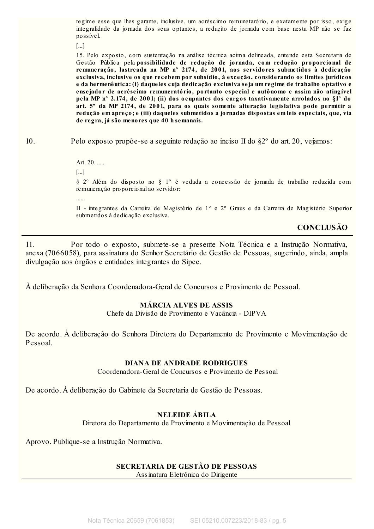regime esse que lhes garante, inclusive, um acréscimo remunetarório, e exatamente por isso, exige integralidade da jornada dos seus optantes, a redução de jornada com base nesta MP não se faz possível.

 $\lceil$ ...]

15. Pelo exposto, com sustentação na análise técnica acima delineada, entende esta Secretaria de Gestão Pública pela possibilidade de redução de jornada, com redução proporcional de remuneração, lastreada na MP nº 2174, de 2001, aos servidores submetidos à dedicação exclusiva, inclusive os que recebem por subsídio, à exceção, considerando os limites jurídicos e da hermenêutica: (i) daqueles cuja dedicação exclusiva seja um regime de trabalho optativo e ensejador de acréscimo remuneratório, portanto especial e autônomo e assim não atingível pela MP nº 2.174, de 2001; (ii) dos ocupantes dos cargos taxativamente arrolados no §1° do art. 5° da MP 2174, de 2001, para os quais somente alteração legislativa pode permitir a redução em apreço; e (iii) daqueles submetidos a jornadas dispostas em leis especiais, que, via de regra, já são menores que 40 h semanais.

 $10.$ 

Pelo exposto propõe-se a seguinte redação ao inciso II do  $\S2^{\circ}$  do art. 20, vejamos:

Art. 20. ......  $\lceil ... \rceil$ § 2º Além do disposto no § 1º é vedada a concessão de jornada de trabalho reduzida com remuneração proporcional ao servidor.  $\cdots$ II - integrantes da Carreira de Magistério de 1º e 2º Graus e da Carreira de Magistério Superior submetidos à dedicação exclusiva.

**CONCLUSÃO** 

 $11.$ Por todo o exposto, submete-se a presente Nota Técnica e a Instrução Normativa, anexa (7066058), para assinatura do Senhor Secretário de Gestão de Pessoas, sugerindo, ainda, ampla divulgação aos órgãos e entidades integrantes do Sipec.

À deliberação da Senhora Coordenadora-Geral de Concursos e Provimento de Pessoal.

## **MÁRCIA ALVES DE ASSIS**

Chefe da Divisão de Provimento e Vacância - DIPVA

De acordo. À deliberação do Senhora Diretora do Departamento de Provimento e Movimentação de Pessoal

## **DIANA DE ANDRADE RODRIGUES**

Coordenadora-Geral de Concursos e Provimento de Pessoal

De acordo. À deliberação do Gabinete da Secretaria de Gestão de Pessoas.

## **NELEIDE ÁBILA**

Diretora do Departamento de Provimento e Movimentação de Pessoal

Aprovo. Publique-se a Instrução Normativa.

# SECRETARIA DE GESTÃO DE PESSOAS

Assinatura Eletrônica do Dirigente